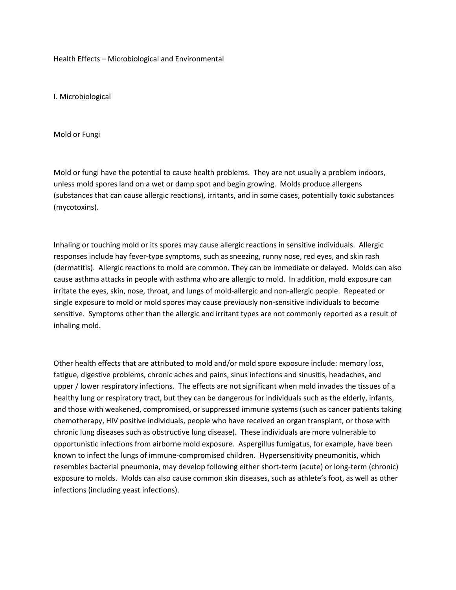Health Effects – Microbiological and Environmental

I. Microbiological

Mold or Fungi

Mold or fungi have the potential to cause health problems. They are not usually a problem indoors, unless mold spores land on a wet or damp spot and begin growing. Molds produce allergens (substances that can cause allergic reactions), irritants, and in some cases, potentially toxic substances (mycotoxins).

Inhaling or touching mold or its spores may cause allergic reactions in sensitive individuals. Allergic responses include hay fever-type symptoms, such as sneezing, runny nose, red eyes, and skin rash (dermatitis). Allergic reactions to mold are common. They can be immediate or delayed. Molds can also cause asthma attacks in people with asthma who are allergic to mold. In addition, mold exposure can irritate the eyes, skin, nose, throat, and lungs of mold-allergic and non-allergic people. Repeated or single exposure to mold or mold spores may cause previously non-sensitive individuals to become sensitive. Symptoms other than the allergic and irritant types are not commonly reported as a result of inhaling mold.

Other health effects that are attributed to mold and/or mold spore exposure include: memory loss, fatigue, digestive problems, chronic aches and pains, sinus infections and sinusitis, headaches, and upper / lower respiratory infections. The effects are not significant when mold invades the tissues of a healthy lung or respiratory tract, but they can be dangerous for individuals such as the elderly, infants, and those with weakened, compromised, or suppressed immune systems (such as cancer patients taking chemotherapy, HIV positive individuals, people who have received an organ transplant, or those with chronic lung diseases such as obstructive lung disease). These individuals are more vulnerable to opportunistic infections from airborne mold exposure. Aspergillus fumigatus, for example, have been known to infect the lungs of immune-compromised children. Hypersensitivity pneumonitis, which resembles bacterial pneumonia, may develop following either short-term (acute) or long-term (chronic) exposure to molds. Molds can also cause common skin diseases, such as athlete's foot, as well as other infections (including yeast infections).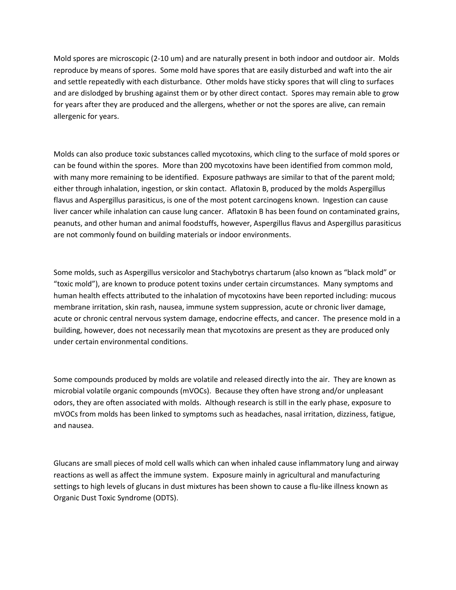Mold spores are microscopic (2-10 um) and are naturally present in both indoor and outdoor air. Molds reproduce by means of spores. Some mold have spores that are easily disturbed and waft into the air and settle repeatedly with each disturbance. Other molds have sticky spores that will cling to surfaces and are dislodged by brushing against them or by other direct contact. Spores may remain able to grow for years after they are produced and the allergens, whether or not the spores are alive, can remain allergenic for years.

Molds can also produce toxic substances called mycotoxins, which cling to the surface of mold spores or can be found within the spores. More than 200 mycotoxins have been identified from common mold, with many more remaining to be identified. Exposure pathways are similar to that of the parent mold; either through inhalation, ingestion, or skin contact. Aflatoxin B, produced by the molds Aspergillus flavus and Aspergillus parasiticus, is one of the most potent carcinogens known. Ingestion can cause liver cancer while inhalation can cause lung cancer. Aflatoxin B has been found on contaminated grains, peanuts, and other human and animal foodstuffs, however, Aspergillus flavus and Aspergillus parasiticus are not commonly found on building materials or indoor environments.

Some molds, such as Aspergillus versicolor and Stachybotrys chartarum (also known as "black mold" or "toxic mold"), are known to produce potent toxins under certain circumstances. Many symptoms and human health effects attributed to the inhalation of mycotoxins have been reported including: mucous membrane irritation, skin rash, nausea, immune system suppression, acute or chronic liver damage, acute or chronic central nervous system damage, endocrine effects, and cancer. The presence mold in a building, however, does not necessarily mean that mycotoxins are present as they are produced only under certain environmental conditions.

Some compounds produced by molds are volatile and released directly into the air. They are known as microbial volatile organic compounds (mVOCs). Because they often have strong and/or unpleasant odors, they are often associated with molds. Although research is still in the early phase, exposure to mVOCs from molds has been linked to symptoms such as headaches, nasal irritation, dizziness, fatigue, and nausea.

Glucans are small pieces of mold cell walls which can when inhaled cause inflammatory lung and airway reactions as well as affect the immune system. Exposure mainly in agricultural and manufacturing settings to high levels of glucans in dust mixtures has been shown to cause a flu-like illness known as Organic Dust Toxic Syndrome (ODTS).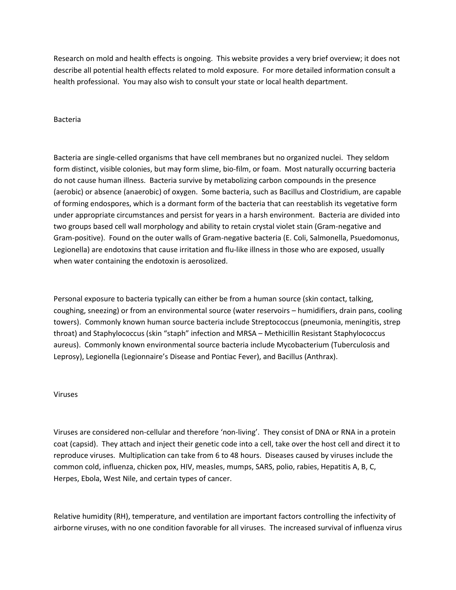Research on mold and health effects is ongoing. This website provides a very brief overview; it does not describe all potential health effects related to mold exposure. For more detailed information consult a health professional. You may also wish to consult your state or local health department.

## Bacteria

Bacteria are single-celled organisms that have cell membranes but no organized nuclei. They seldom form distinct, visible colonies, but may form slime, bio-film, or foam. Most naturally occurring bacteria do not cause human illness. Bacteria survive by metabolizing carbon compounds in the presence (aerobic) or absence (anaerobic) of oxygen. Some bacteria, such as Bacillus and Clostridium, are capable of forming endospores, which is a dormant form of the bacteria that can reestablish its vegetative form under appropriate circumstances and persist for years in a harsh environment. Bacteria are divided into two groups based cell wall morphology and ability to retain crystal violet stain (Gram-negative and Gram-positive). Found on the outer walls of Gram-negative bacteria (E. Coli, Salmonella, Psuedomonus, Legionella) are endotoxins that cause irritation and flu-like illness in those who are exposed, usually when water containing the endotoxin is aerosolized.

Personal exposure to bacteria typically can either be from a human source (skin contact, talking, coughing, sneezing) or from an environmental source (water reservoirs – humidifiers, drain pans, cooling towers). Commonly known human source bacteria include Streptococcus (pneumonia, meningitis, strep throat) and Staphylococcus (skin "staph" infection and MRSA – Methicillin Resistant Staphylococcus aureus). Commonly known environmental source bacteria include Mycobacterium (Tuberculosis and Leprosy), Legionella (Legionnaire's Disease and Pontiac Fever), and Bacillus (Anthrax).

## Viruses

Viruses are considered non-cellular and therefore 'non-living'. They consist of DNA or RNA in a protein coat (capsid). They attach and inject their genetic code into a cell, take over the host cell and direct it to reproduce viruses. Multiplication can take from 6 to 48 hours. Diseases caused by viruses include the common cold, influenza, chicken pox, HIV, measles, mumps, SARS, polio, rabies, Hepatitis A, B, C, Herpes, Ebola, West Nile, and certain types of cancer.

Relative humidity (RH), temperature, and ventilation are important factors controlling the infectivity of airborne viruses, with no one condition favorable for all viruses. The increased survival of influenza virus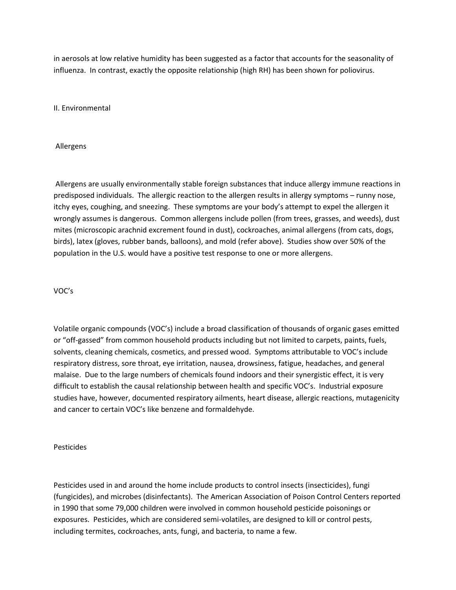in aerosols at low relative humidity has been suggested as a factor that accounts for the seasonality of influenza. In contrast, exactly the opposite relationship (high RH) has been shown for poliovirus.

II. Environmental

Allergens

Allergens are usually environmentally stable foreign substances that induce allergy immune reactions in predisposed individuals. The allergic reaction to the allergen results in allergy symptoms – runny nose, itchy eyes, coughing, and sneezing. These symptoms are your body's attempt to expel the allergen it wrongly assumes is dangerous. Common allergens include pollen (from trees, grasses, and weeds), dust mites (microscopic arachnid excrement found in dust), cockroaches, animal allergens (from cats, dogs, birds), latex (gloves, rubber bands, balloons), and mold (refer above). Studies show over 50% of the population in the U.S. would have a positive test response to one or more allergens.

## VOC's

Volatile organic compounds (VOC's) include a broad classification of thousands of organic gases emitted or "off-gassed" from common household products including but not limited to carpets, paints, fuels, solvents, cleaning chemicals, cosmetics, and pressed wood. Symptoms attributable to VOC's include respiratory distress, sore throat, eye irritation, nausea, drowsiness, fatigue, headaches, and general malaise. Due to the large numbers of chemicals found indoors and their synergistic effect, it is very difficult to establish the causal relationship between health and specific VOC's. Industrial exposure studies have, however, documented respiratory ailments, heart disease, allergic reactions, mutagenicity and cancer to certain VOC's like benzene and formaldehyde.

Pesticides

Pesticides used in and around the home include products to control insects (insecticides), fungi (fungicides), and microbes (disinfectants). The American Association of Poison Control Centers reported in 1990 that some 79,000 children were involved in common household pesticide poisonings or exposures. Pesticides, which are considered semi-volatiles, are designed to kill or control pests, including termites, cockroaches, ants, fungi, and bacteria, to name a few.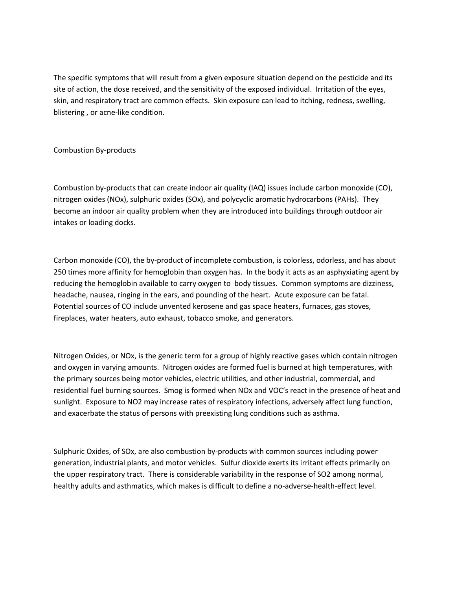The specific symptoms that will result from a given exposure situation depend on the pesticide and its site of action, the dose received, and the sensitivity of the exposed individual. Irritation of the eyes, skin, and respiratory tract are common effects. Skin exposure can lead to itching, redness, swelling, blistering , or acne-like condition.

## Combustion By-products

Combustion by-products that can create indoor air quality (IAQ) issues include carbon monoxide (CO), nitrogen oxides (NOx), sulphuric oxides (SOx), and polycyclic aromatic hydrocarbons (PAHs). They become an indoor air quality problem when they are introduced into buildings through outdoor air intakes or loading docks.

Carbon monoxide (CO), the by-product of incomplete combustion, is colorless, odorless, and has about 250 times more affinity for hemoglobin than oxygen has. In the body it acts as an asphyxiating agent by reducing the hemoglobin available to carry oxygen to body tissues. Common symptoms are dizziness, headache, nausea, ringing in the ears, and pounding of the heart. Acute exposure can be fatal. Potential sources of CO include unvented kerosene and gas space heaters, furnaces, gas stoves, fireplaces, water heaters, auto exhaust, tobacco smoke, and generators.

Nitrogen Oxides, or NOx, is the generic term for a group of highly reactive gases which contain nitrogen and oxygen in varying amounts. Nitrogen oxides are formed fuel is burned at high temperatures, with the primary sources being motor vehicles, electric utilities, and other industrial, commercial, and residential fuel burning sources. Smog is formed when NOx and VOC's react in the presence of heat and sunlight. Exposure to NO2 may increase rates of respiratory infections, adversely affect lung function, and exacerbate the status of persons with preexisting lung conditions such as asthma.

Sulphuric Oxides, of SOx, are also combustion by-products with common sources including power generation, industrial plants, and motor vehicles. Sulfur dioxide exerts its irritant effects primarily on the upper respiratory tract. There is considerable variability in the response of SO2 among normal, healthy adults and asthmatics, which makes is difficult to define a no-adverse-health-effect level.